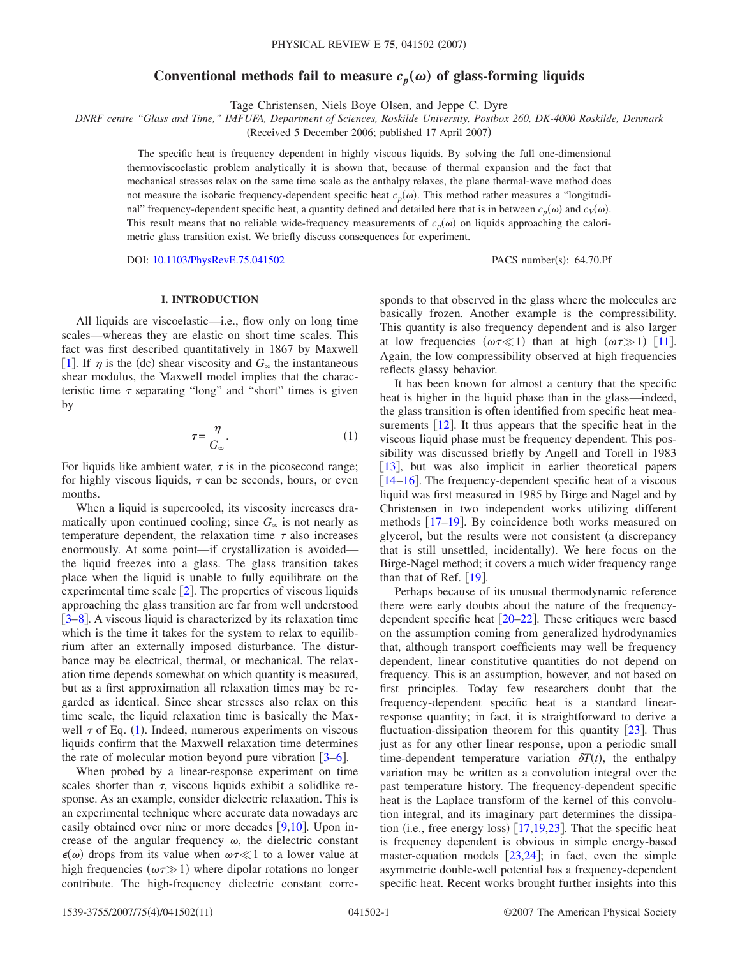# Conventional methods fail to measure  $c_p(\omega)$  of glass-forming liquids

Tage Christensen, Niels Boye Olsen, and Jeppe C. Dyre

*DNRF centre "Glass and Time," IMFUFA, Department of Sciences, Roskilde University, Postbox 260, DK-4000 Roskilde, Denmark*

(Received 5 December 2006; published 17 April 2007)

The specific heat is frequency dependent in highly viscous liquids. By solving the full one-dimensional thermoviscoelastic problem analytically it is shown that, because of thermal expansion and the fact that mechanical stresses relax on the same time scale as the enthalpy relaxes, the plane thermal-wave method does not measure the isobaric frequency-dependent specific heat  $c_p(\omega)$ . This method rather measures a "longitudinal" frequency-dependent specific heat, a quantity defined and detailed here that is in between  $c_p(\omega)$  and  $c_v(\omega)$ . This result means that no reliable wide-frequency measurements of  $c_p(\omega)$  on liquids approaching the calorimetric glass transition exist. We briefly discuss consequences for experiment.

DOI: [10.1103/PhysRevE.75.041502](http://dx.doi.org/10.1103/PhysRevE.75.041502)

PACS number(s): 64.70.Pf

## **I. INTRODUCTION**

All liquids are viscoelastic—i.e., flow only on long time scales—whereas they are elastic on short time scales. This fact was first described quantitatively in 1867 by Maxwell [[1](#page-9-0)]. If  $\eta$  is the (dc) shear viscosity and  $G_{\infty}$  the instantaneous shear modulus, the Maxwell model implies that the characteristic time  $\tau$  separating "long" and "short" times is given by

$$
\tau = \frac{\eta}{G_{\infty}}.\tag{1}
$$

<span id="page-0-0"></span>For liquids like ambient water,  $\tau$  is in the picosecond range; for highly viscous liquids,  $\tau$  can be seconds, hours, or even months.

When a liquid is supercooled, its viscosity increases dramatically upon continued cooling; since  $G_{\infty}$  is not nearly as temperature dependent, the relaxation time  $\tau$  also increases enormously. At some point—if crystallization is avoided the liquid freezes into a glass. The glass transition takes place when the liquid is unable to fully equilibrate on the experimental time scale  $[2]$  $[2]$  $[2]$ . The properties of viscous liquids approaching the glass transition are far from well understood  $[3-8]$  $[3-8]$  $[3-8]$ . A viscous liquid is characterized by its relaxation time which is the time it takes for the system to relax to equilibrium after an externally imposed disturbance. The disturbance may be electrical, thermal, or mechanical. The relaxation time depends somewhat on which quantity is measured, but as a first approximation all relaxation times may be regarded as identical. Since shear stresses also relax on this time scale, the liquid relaxation time is basically the Maxwell  $\tau$  of Eq. ([1](#page-0-0)). Indeed, numerous experiments on viscous liquids confirm that the Maxwell relaxation time determines the rate of molecular motion beyond pure vibration  $\left[3-6\right]$  $\left[3-6\right]$  $\left[3-6\right]$ .

When probed by a linear-response experiment on time scales shorter than  $\tau$ , viscous liquids exhibit a solidlike response. As an example, consider dielectric relaxation. This is an experimental technique where accurate data nowadays are easily obtained over nine or more decades  $[9,10]$  $[9,10]$  $[9,10]$  $[9,10]$ . Upon increase of the angular frequency  $\omega$ , the dielectric constant  $\epsilon(\omega)$  drops from its value when  $\omega \tau \ll 1$  to a lower value at high frequencies  $(\omega \tau \gg 1)$  where dipolar rotations no longer contribute. The high-frequency dielectric constant corresponds to that observed in the glass where the molecules are basically frozen. Another example is the compressibility. This quantity is also frequency dependent and is also larger at low frequencies  $(\omega \tau \ll 1)$  than at high  $(\omega \tau \gg 1)$  [[11](#page-9-7)]. Again, the low compressibility observed at high frequencies reflects glassy behavior.

It has been known for almost a century that the specific heat is higher in the liquid phase than in the glass—indeed, the glass transition is often identified from specific heat measurements  $[12]$  $[12]$  $[12]$ . It thus appears that the specific heat in the viscous liquid phase must be frequency dependent. This possibility was discussed briefly by Angell and Torell in 1983 [[13](#page-9-9)], but was also implicit in earlier theoretical papers  $[14–16]$  $[14–16]$  $[14–16]$  $[14–16]$ . The frequency-dependent specific heat of a viscous liquid was first measured in 1985 by Birge and Nagel and by Christensen in two independent works utilizing different methods  $\left[17-19\right]$  $\left[17-19\right]$  $\left[17-19\right]$ . By coincidence both works measured on glycerol, but the results were not consistent (a discrepancy that is still unsettled, incidentally). We here focus on the Birge-Nagel method; it covers a much wider frequency range than that of Ref.  $[19]$  $[19]$  $[19]$ .

Perhaps because of its unusual thermodynamic reference there were early doubts about the nature of the frequencydependent specific heat  $[20-22]$  $[20-22]$  $[20-22]$ . These critiques were based on the assumption coming from generalized hydrodynamics that, although transport coefficients may well be frequency dependent, linear constitutive quantities do not depend on frequency. This is an assumption, however, and not based on first principles. Today few researchers doubt that the frequency-dependent specific heat is a standard linearresponse quantity; in fact, it is straightforward to derive a fluctuation-dissipation theorem for this quantity  $[23]$  $[23]$  $[23]$ . Thus just as for any other linear response, upon a periodic small time-dependent temperature variation  $\delta T(t)$ , the enthalpy variation may be written as a convolution integral over the past temperature history. The frequency-dependent specific heat is the Laplace transform of the kernel of this convolution integral, and its imaginary part determines the dissipation (i.e., free energy loss)  $[17,19,23]$  $[17,19,23]$  $[17,19,23]$  $[17,19,23]$  $[17,19,23]$ . That the specific heat is frequency dependent is obvious in simple energy-based master-equation models  $[23,24]$  $[23,24]$  $[23,24]$  $[23,24]$ ; in fact, even the simple asymmetric double-well potential has a frequency-dependent specific heat. Recent works brought further insights into this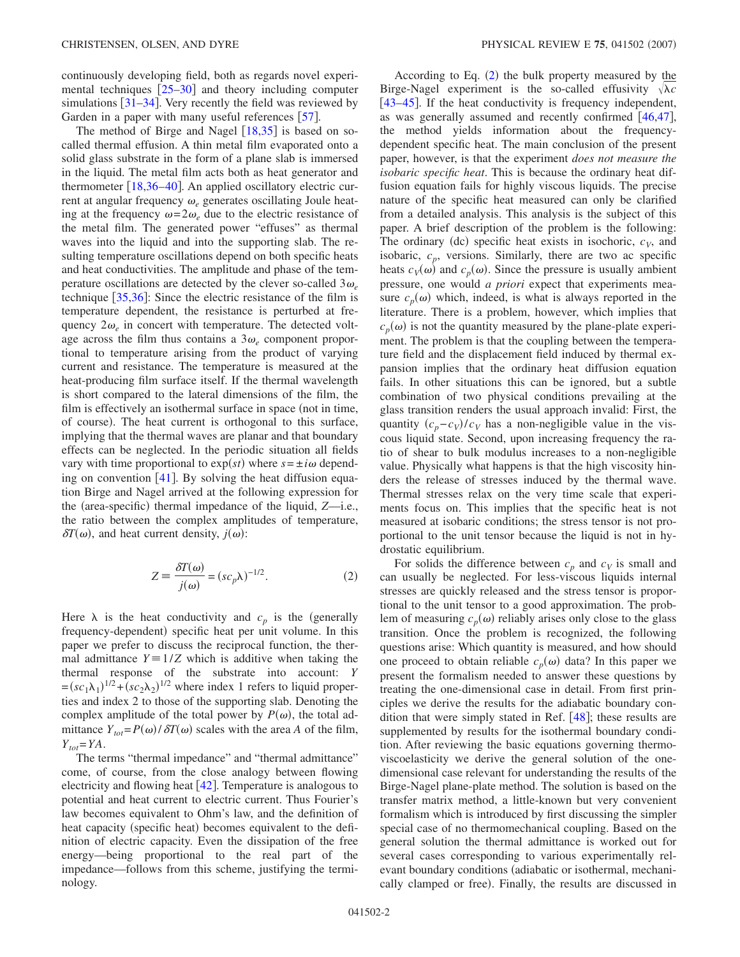continuously developing field, both as regards novel experimental techniques  $[25-30]$  $[25-30]$  $[25-30]$  and theory including computer simulations  $\left[31-34\right]$  $\left[31-34\right]$  $\left[31-34\right]$ . Very recently the field was reviewed by Garden in a paper with many useful references  $[57]$  $[57]$  $[57]$ .

The method of Birge and Nagel  $[18,35]$  $[18,35]$  $[18,35]$  $[18,35]$  is based on socalled thermal effusion. A thin metal film evaporated onto a solid glass substrate in the form of a plane slab is immersed in the liquid. The metal film acts both as heat generator and thermometer  $[18,36-40]$  $[18,36-40]$  $[18,36-40]$  $[18,36-40]$  $[18,36-40]$ . An applied oscillatory electric current at angular frequency  $\omega_e$  generates oscillating Joule heating at the frequency  $\omega = 2\omega_e$  due to the electric resistance of the metal film. The generated power "effuses" as thermal waves into the liquid and into the supporting slab. The resulting temperature oscillations depend on both specific heats and heat conductivities. The amplitude and phase of the temperature oscillations are detected by the clever so-called  $3\omega_e$ technique  $\left[35,36\right]$  $\left[35,36\right]$  $\left[35,36\right]$  $\left[35,36\right]$ : Since the electric resistance of the film is temperature dependent, the resistance is perturbed at frequency  $2\omega_e$  in concert with temperature. The detected voltage across the film thus contains a  $3\omega_e$  component proportional to temperature arising from the product of varying current and resistance. The temperature is measured at the heat-producing film surface itself. If the thermal wavelength is short compared to the lateral dimensions of the film, the film is effectively an isothermal surface in space (not in time, of course). The heat current is orthogonal to this surface, implying that the thermal waves are planar and that boundary effects can be neglected. In the periodic situation all fields vary with time proportional to  $exp(st)$  where  $s = \pm i\omega$  depending on convention  $[41]$  $[41]$  $[41]$ . By solving the heat diffusion equation Birge and Nagel arrived at the following expression for the (area-specific) thermal impedance of the liquid, *Z*—i.e., the ratio between the complex amplitudes of temperature,  $\delta T(\omega)$ , and heat current density,  $j(\omega)$ :

$$
Z = \frac{\delta T(\omega)}{j(\omega)} = (sc_p \lambda)^{-1/2}.
$$
 (2)

<span id="page-1-0"></span>Here  $\lambda$  is the heat conductivity and  $c_p$  is the (generally frequency-dependent) specific heat per unit volume. In this paper we prefer to discuss the reciprocal function, the thermal admittance  $Y = 1/Z$  which is additive when taking the thermal response of the substrate into account: *Y*  $=(sc_1\lambda_1)^{1/2}+(sc_2\lambda_2)^{1/2}$  where index 1 refers to liquid properties and index 2 to those of the supporting slab. Denoting the complex amplitude of the total power by  $P(\omega)$ , the total admittance  $Y_{tot} = P(\omega) / \delta T(\omega)$  scales with the area *A* of the film,  $Y_{tot} = YA$ .

The terms "thermal impedance" and "thermal admittance" come, of course, from the close analogy between flowing electricity and flowing heat  $\lceil 42 \rceil$  $\lceil 42 \rceil$  $\lceil 42 \rceil$ . Temperature is analogous to potential and heat current to electric current. Thus Fourier's law becomes equivalent to Ohm's law, and the definition of heat capacity (specific heat) becomes equivalent to the definition of electric capacity. Even the dissipation of the free energy—being proportional to the real part of the impedance—follows from this scheme, justifying the terminology.

According to Eq.  $(2)$  $(2)$  $(2)$  the bulk property measured by the Birge-Nagel experiment is the so-called effusivity  $\sqrt{\lambda}c$ [[43–](#page-9-28)[45](#page-9-29)]. If the heat conductivity is frequency independent, as was generally assumed and recently confirmed  $[46,47]$  $[46,47]$  $[46,47]$  $[46,47]$ , the method yields information about the frequencydependent specific heat. The main conclusion of the present paper, however, is that the experiment *does not measure the isobaric specific heat*. This is because the ordinary heat diffusion equation fails for highly viscous liquids. The precise nature of the specific heat measured can only be clarified from a detailed analysis. This analysis is the subject of this paper. A brief description of the problem is the following: The ordinary (dc) specific heat exists in isochoric,  $c_V$ , and isobaric,  $c_p$ , versions. Similarly, there are two ac specific heats  $c_V(\omega)$  and  $c_p(\omega)$ . Since the pressure is usually ambient pressure, one would *a priori* expect that experiments measure  $c_p(\omega)$  which, indeed, is what is always reported in the literature. There is a problem, however, which implies that  $c_p(\omega)$  is not the quantity measured by the plane-plate experiment. The problem is that the coupling between the temperature field and the displacement field induced by thermal expansion implies that the ordinary heat diffusion equation fails. In other situations this can be ignored, but a subtle combination of two physical conditions prevailing at the glass transition renders the usual approach invalid: First, the quantity  $(c_p - c_V)/c_V$  has a non-negligible value in the viscous liquid state. Second, upon increasing frequency the ratio of shear to bulk modulus increases to a non-negligible value. Physically what happens is that the high viscosity hinders the release of stresses induced by the thermal wave. Thermal stresses relax on the very time scale that experiments focus on. This implies that the specific heat is not measured at isobaric conditions; the stress tensor is not proportional to the unit tensor because the liquid is not in hydrostatic equilibrium.

For solids the difference between  $c_p$  and  $c_V$  is small and can usually be neglected. For less-viscous liquids internal stresses are quickly released and the stress tensor is proportional to the unit tensor to a good approximation. The problem of measuring  $c_p(\omega)$  reliably arises only close to the glass transition. Once the problem is recognized, the following questions arise: Which quantity is measured, and how should one proceed to obtain reliable  $c_p(\omega)$  data? In this paper we present the formalism needed to answer these questions by treating the one-dimensional case in detail. From first principles we derive the results for the adiabatic boundary condition that were simply stated in Ref.  $[48]$  $[48]$  $[48]$ ; these results are supplemented by results for the isothermal boundary condition. After reviewing the basic equations governing thermoviscoelasticity we derive the general solution of the onedimensional case relevant for understanding the results of the Birge-Nagel plane-plate method. The solution is based on the transfer matrix method, a little-known but very convenient formalism which is introduced by first discussing the simpler special case of no thermomechanical coupling. Based on the general solution the thermal admittance is worked out for several cases corresponding to various experimentally relevant boundary conditions (adiabatic or isothermal, mechanically clamped or free). Finally, the results are discussed in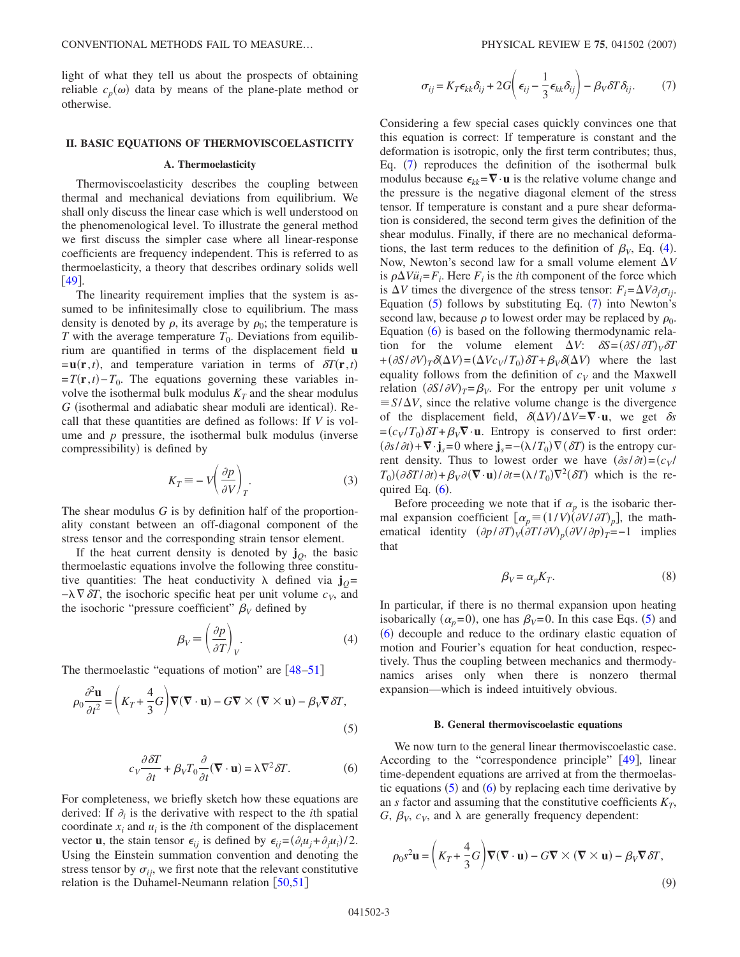light of what they tell us about the prospects of obtaining reliable  $c_p(\omega)$  data by means of the plane-plate method or otherwise.

## **II. BASIC EQUATIONS OF THERMOVISCOELASTICITY**

### **A. Thermoelasticity**

Thermoviscoelasticity describes the coupling between thermal and mechanical deviations from equilibrium. We shall only discuss the linear case which is well understood on the phenomenological level. To illustrate the general method we first discuss the simpler case where all linear-response coefficients are frequency independent. This is referred to as thermoelasticity, a theory that describes ordinary solids well [49](#page-9-33).

The linearity requirement implies that the system is assumed to be infinitesimally close to equilibrium. The mass density is denoted by  $\rho$ , its average by  $\rho_0$ ; the temperature is *T* with the average temperature  $T_0$ . Deviations from equilibrium are quantified in terms of the displacement field **u**  $=$ **u**(**r**,*t*), and temperature variation in terms of  $\delta T(\mathbf{r},t)$  $=T(\mathbf{r}, t) - T_0$ . The equations governing these variables involve the isothermal bulk modulus  $K_T$  and the shear modulus G (isothermal and adiabatic shear moduli are identical). Recall that these quantities are defined as follows: If *V* is volume and  $p$  pressure, the isothermal bulk modulus (inverse compressibility) is defined by

$$
K_T \equiv -V \left(\frac{\partial p}{\partial V}\right)_T.
$$
 (3)

The shear modulus *G* is by definition half of the proportionality constant between an off-diagonal component of the stress tensor and the corresponding strain tensor element.

If the heat current density is denoted by  $\mathbf{j}_0$ , the basic thermoelastic equations involve the following three constitutive quantities: The heat conductivity  $\lambda$  defined via  $\mathbf{j}_0 =$  $-\lambda \nabla \delta T$ , the isochoric specific heat per unit volume  $c_V$ , and the isochoric "pressure coefficient"  $\beta_V$  defined by

$$
\beta_V \equiv \left(\frac{\partial p}{\partial T}\right)_V.
$$
\n(4)

<span id="page-2-2"></span><span id="page-2-1"></span>The thermoelastic "equations of motion" are  $[48-51]$  $[48-51]$  $[48-51]$ 

$$
\rho_0 \frac{\partial^2 \mathbf{u}}{\partial t^2} = \left( K_T + \frac{4}{3} G \right) \nabla (\nabla \cdot \mathbf{u}) - G \nabla \times (\nabla \times \mathbf{u}) - \beta_V \nabla \delta T,\tag{5}
$$

$$
c_V \frac{\partial \delta T}{\partial t} + \beta_V T_0 \frac{\partial}{\partial t} (\nabla \cdot \mathbf{u}) = \lambda \nabla^2 \delta T.
$$
 (6)

<span id="page-2-3"></span>For completeness, we briefly sketch how these equations are derived: If  $\partial_i$  is the derivative with respect to the *i*th spatial coordinate  $x_i$  and  $u_i$  is the *i*th component of the displacement vector **u**, the stain tensor  $\epsilon_{ij}$  is defined by  $\epsilon_{ij} = (\partial_i u_j + \partial_j u_i)/2$ . Using the Einstein summation convention and denoting the stress tensor by  $\sigma_{ij}$ , we first note that the relevant constitutive relation is the Duhamel-Neumann relation  $\lceil 50, 51 \rceil$  $\lceil 50, 51 \rceil$  $\lceil 50, 51 \rceil$ 

<span id="page-2-0"></span>
$$
\sigma_{ij} = K_T \epsilon_{kk} \delta_{ij} + 2G \left( \epsilon_{ij} - \frac{1}{3} \epsilon_{kk} \delta_{ij} \right) - \beta_V \delta T \delta_{ij}.
$$
 (7)

Considering a few special cases quickly convinces one that this equation is correct: If temperature is constant and the deformation is isotropic, only the first term contributes; thus, Eq. ([7](#page-2-0)) reproduces the definition of the isothermal bulk modulus because  $\epsilon_{kk} = \nabla \cdot \mathbf{u}$  is the relative volume change and the pressure is the negative diagonal element of the stress tensor. If temperature is constant and a pure shear deformation is considered, the second term gives the definition of the shear modulus. Finally, if there are no mechanical deformations, the last term reduces to the definition of  $\beta_V$ , Eq. ([4](#page-2-1)). Now, Newton's second law for a small volume element  $\Delta V$ is  $\rho \Delta V \ddot{u}_i = F_i$ . Here  $F_i$  is the *i*th component of the force which is  $\Delta V$  times the divergence of the stress tensor:  $F_i = \Delta V \partial_i \sigma_{ii}$ . Equation  $(5)$  $(5)$  $(5)$  follows by substituting Eq.  $(7)$  $(7)$  $(7)$  into Newton's second law, because  $\rho$  to lowest order may be replaced by  $\rho_0$ . Equation  $(6)$  $(6)$  $(6)$  is based on the following thermodynamic relation for the volume element  $\Delta V$ :  $\delta S = (\partial S / \partial T)_{V} \delta T$  $+(\partial S/\partial V)_T \delta(\Delta V) = (\Delta V c_V/T_0) \delta T + \beta_V \delta(\Delta V)$  where the last equality follows from the definition of  $c_V$  and the Maxwell relation  $(\partial S/\partial V)_T = \beta_V$ . For the entropy per unit volume *s*  $\equiv S/\Delta V$ , since the relative volume change is the divergence of the displacement field,  $\delta(\Delta V)/\Delta V = \nabla \cdot \mathbf{u}$ , we get  $\delta s$  $=(c_V/T_0)\delta T + \beta_V \nabla \cdot \mathbf{u}$ . Entropy is conserved to first order:  $(\partial s/\partial t)$  +  $\nabla \cdot$  **j**<sub>*s*</sub>=0 where **j**<sub>*s*</sub> = −( $\lambda/T_0$ ) $\nabla (\delta T)$  is the entropy current density. Thus to lowest order we have  $(\partial s/\partial t) = (c_V/\partial s/\partial t)$  $T_0$ )( $\partial \delta T / \partial t$ ) +  $\beta_V \partial (\nabla \cdot \mathbf{u}) / \partial t = (\lambda / T_0) \nabla^2 (\delta T)$  which is the required Eq.  $(6)$  $(6)$  $(6)$ .

Before proceeding we note that if  $\alpha_p$  is the isobaric thermal expansion coefficient  $\left[\alpha_p \equiv (1/V)(\partial V/\partial T)_p\right]$ , the mathematical identity  $(\partial p / \partial T)_{V} (\partial T / \partial V)_{p} (\partial V / \partial p)_{T} = -1$  implies that

$$
\beta_V = \alpha_p K_T. \tag{8}
$$

<span id="page-2-5"></span>In particular, if there is no thermal expansion upon heating isobarically  $(\alpha_p=0)$ , one has  $\beta_V=0$ . In this case Eqs. ([5](#page-2-2)) and ([6](#page-2-3)) decouple and reduce to the ordinary elastic equation of motion and Fourier's equation for heat conduction, respectively. Thus the coupling between mechanics and thermodynamics arises only when there is nonzero thermal expansion—which is indeed intuitively obvious.

### **B. General thermoviscoelastic equations**

We now turn to the general linear thermoviscoelastic case. According to the "correspondence principle" [[49](#page-9-33)], linear time-dependent equations are arrived at from the thermoelastic equations  $(5)$  $(5)$  $(5)$  and  $(6)$  $(6)$  $(6)$  by replacing each time derivative by an  $s$  factor and assuming that the constitutive coefficients  $K_T$ ,  $G, \beta_V, c_V$ , and  $\lambda$  are generally frequency dependent:

<span id="page-2-4"></span>
$$
\rho_0 s^2 \mathbf{u} = \left( K_T + \frac{4}{3} G \right) \nabla (\nabla \cdot \mathbf{u}) - G \nabla \times (\nabla \times \mathbf{u}) - \beta_V \nabla \delta T,
$$
\n(9)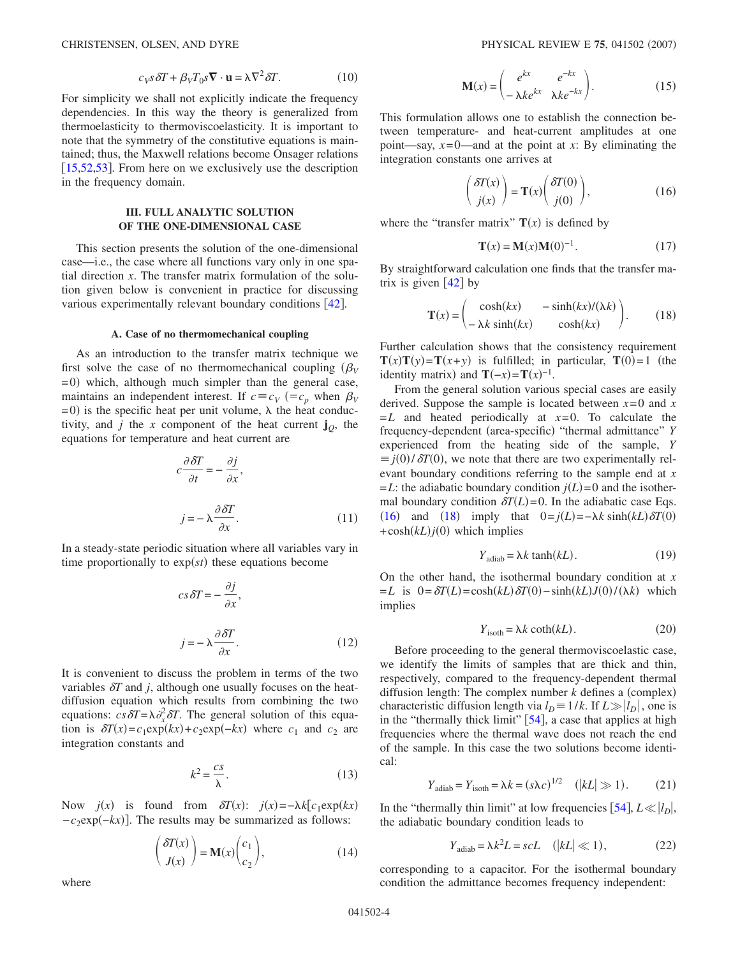<span id="page-3-2"></span>

$$
c_V s \, \delta T + \beta_V T_0 s \mathbf{\nabla} \cdot \mathbf{u} = \lambda \nabla^2 \delta T. \tag{10}
$$

For simplicity we shall not explicitly indicate the frequency dependencies. In this way the theory is generalized from thermoelasticity to thermoviscoelasticity. It is important to note that the symmetry of the constitutive equations is maintained; thus, the Maxwell relations become Onsager relations [ $15,52,53$  $15,52,53$  $15,52,53$ ]. From here on we exclusively use the description in the frequency domain.

## **III. FULL ANALYTIC SOLUTION OF THE ONE-DIMENSIONAL CASE**

This section presents the solution of the one-dimensional case—i.e., the case where all functions vary only in one spatial direction *x*. The transfer matrix formulation of the solution given below is convenient in practice for discussing various experimentally relevant boundary conditions [[42](#page-9-27)].

#### **A. Case of no thermomechanical coupling**

As an introduction to the transfer matrix technique we first solve the case of no thermomechanical coupling  $(\beta_V)$ = 0) which, although much simpler than the general case, maintains an independent interest. If  $c \equiv c_V$  ( $=c_p$  when  $\beta_V$  $= 0$ ) is the specific heat per unit volume,  $\lambda$  the heat conductivity, and *j* the *x* component of the heat current  $\mathbf{j}_0$ , the equations for temperature and heat current are

$$
c\frac{\partial \delta T}{\partial t} = -\frac{\partial j}{\partial x},
$$
  

$$
j = -\lambda \frac{\partial \delta T}{\partial x}.
$$
 (11)

<span id="page-3-3"></span>In a steady-state periodic situation where all variables vary in time proportionally to  $exp(st)$  these equations become

$$
cs \, \delta T = -\frac{\partial j}{\partial x},
$$
  

$$
j = -\lambda \frac{\partial \delta T}{\partial x}.
$$
 (12)

It is convenient to discuss the problem in terms of the two variables  $\delta T$  and *j*, although one usually focuses on the heatdiffusion equation which results from combining the two equations:  $cs\,\delta T = \lambda \partial_x^2 \delta T$ . The general solution of this equation is  $\delta T(x) = c_1 \exp(kx) + c_2 \exp(-kx)$  where  $c_1$  and  $c_2$  are integration constants and

$$
k^2 = \frac{cs}{\lambda}.\tag{13}
$$

Now  $j(x)$  is found from  $\delta T(x)$ :  $j(x) = -\lambda k [c_1 \exp(kx)]$  $-c_2$ exp(−*kx*)]. The results may be summarized as follows:

$$
\begin{pmatrix} \delta T(x) \\ J(x) \end{pmatrix} = \mathbf{M}(x) \begin{pmatrix} c_1 \\ c_2 \end{pmatrix},
$$
\n(14)

$$
\mathbf{M}(x) = \begin{pmatrix} e^{kx} & e^{-kx} \\ -\lambda k e^{kx} & \lambda k e^{-kx} \end{pmatrix}.
$$
 (15)

This formulation allows one to establish the connection between temperature- and heat-current amplitudes at one point—say,  $x=0$ —and at the point at *x*: By eliminating the integration constants one arrives at

$$
\begin{pmatrix} \delta T(x) \\ j(x) \end{pmatrix} = \mathbf{T}(x) \begin{pmatrix} \delta T(0) \\ j(0) \end{pmatrix}, \tag{16}
$$

<span id="page-3-4"></span><span id="page-3-0"></span>where the "transfer matrix"  $T(x)$  is defined by

$$
\mathbf{T}(x) = \mathbf{M}(x)\mathbf{M}(0)^{-1}.
$$
 (17)

<span id="page-3-1"></span>By straightforward calculation one finds that the transfer matrix is given  $\lceil 42 \rceil$  $\lceil 42 \rceil$  $\lceil 42 \rceil$  by

$$
\mathbf{T}(x) = \begin{pmatrix} \cosh(kx) & -\sinh(kx)/(\lambda k) \\ -\lambda k \sinh(kx) & \cosh(kx) \end{pmatrix}.
$$
 (18)

Further calculation shows that the consistency requirement  $\mathbf{T}(x)\mathbf{T}(y) = \mathbf{T}(x+y)$  is fulfilled; in particular,  $\mathbf{T}(0) = 1$  (the identity matrix) and  $\mathbf{T}(-x) = \mathbf{T}(x)^{-1}$ .

From the general solution various special cases are easily derived. Suppose the sample is located between  $x=0$  and  $x = 0$  $=L$  and heated periodically at  $x=0$ . To calculate the frequency-dependent (area-specific) "thermal admittance" *Y* experienced from the heating side of the sample, *Y*  $\equiv j(0)/\delta T(0)$ , we note that there are two experimentally relevant boundary conditions referring to the sample end at *x*  $=L$ : the adiabatic boundary condition  $j(L)=0$  and the isothermal boundary condition  $\delta T(L) = 0$ . In the adiabatic case Eqs. ([16](#page-3-0)) and ([18](#page-3-1)) imply that  $0 = j(L) = -\lambda k \sinh(kL) \delta T(0)$  $+\cosh(kL)j(0)$  which implies

$$
Y_{\text{adiab}} = \lambda k \tanh(kL). \tag{19}
$$

On the other hand, the isothermal boundary condition at *x*  $= L$  is  $0 = \delta T(L) = \cosh(kL) \delta T(0) - \sinh(kL) J(0) / (\lambda k)$  which implies

$$
Y_{\text{isoth}} = \lambda k \coth(kL). \tag{20}
$$

Before proceeding to the general thermoviscoelastic case, we identify the limits of samples that are thick and thin, respectively, compared to the frequency-dependent thermal diffusion length: The complex number  $k$  defines a (complex) characteristic diffusion length via  $l_D \equiv 1/k$ . If  $L \gg |l_D|$ , one is in the "thermally thick limit"  $[54]$  $[54]$  $[54]$ , a case that applies at high frequencies where the thermal wave does not reach the end of the sample. In this case the two solutions become identical:

$$
Y_{\text{adiab}} = Y_{\text{isoth}} = \lambda k = (s\lambda c)^{1/2} \quad (|kL| \gg 1). \tag{21}
$$

In the "thermally thin limit" at low frequencies  $[54]$  $[54]$  $[54]$ ,  $L \ll |l_D|$ , the adiabatic boundary condition leads to

$$
Y_{\text{adiab}} = \lambda k^2 L = scL \quad (|kL| \ll 1), \tag{22}
$$

corresponding to a capacitor. For the isothermal boundary condition the admittance becomes frequency independent:

where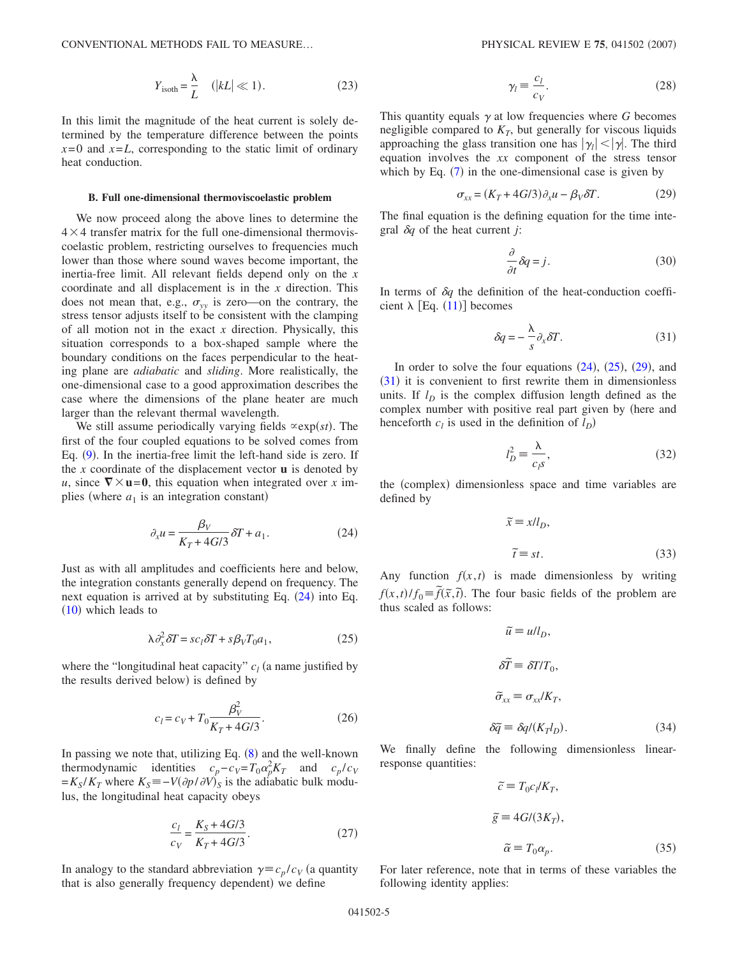$$
Y_{\text{isoth}} = \frac{\lambda}{L} \quad (|kL| \ll 1). \tag{23}
$$

In this limit the magnitude of the heat current is solely determined by the temperature difference between the points  $x=0$  and  $x=L$ , corresponding to the static limit of ordinary heat conduction.

## **B. Full one-dimensional thermoviscoelastic problem**

We now proceed along the above lines to determine the  $4 \times 4$  transfer matrix for the full one-dimensional thermoviscoelastic problem, restricting ourselves to frequencies much lower than those where sound waves become important, the inertia-free limit. All relevant fields depend only on the *x* coordinate and all displacement is in the *x* direction. This does not mean that, e.g.,  $\sigma_{yy}$  is zero—on the contrary, the stress tensor adjusts itself to be consistent with the clamping of all motion not in the exact *x* direction. Physically, this situation corresponds to a box-shaped sample where the boundary conditions on the faces perpendicular to the heating plane are *adiabatic* and *sliding*. More realistically, the one-dimensional case to a good approximation describes the case where the dimensions of the plane heater are much larger than the relevant thermal wavelength.

We still assume periodically varying fields  $\propto \exp(st)$ . The first of the four coupled equations to be solved comes from Eq. ([9](#page-2-4)). In the inertia-free limit the left-hand side is zero. If the *x* coordinate of the displacement vector  $\bf{u}$  is denoted by *u*, since  $\nabla \times$ **u**=0, this equation when integrated over *x* implies (where  $a_1$  is an integration constant)

$$
\partial_x u = \frac{\beta_V}{K_T + 4G/3} \delta T + a_1.
$$
 (24)

<span id="page-4-0"></span>Just as with all amplitudes and coefficients here and below, the integration constants generally depend on frequency. The next equation is arrived at by substituting Eq. ([24](#page-4-0)) into Eq.  $(10)$  $(10)$  $(10)$  which leads to

$$
\lambda \partial_x^2 \delta T = s c_l \delta T + s \beta_V T_0 a_1,\tag{25}
$$

<span id="page-4-1"></span>where the "longitudinal heat capacity"  $c_l$  (a name justified by the results derived below) is defined by

$$
c_l = c_V + T_0 \frac{\beta_V^2}{K_T + 4G/3}.
$$
 (26)

In passing we note that, utilizing Eq.  $(8)$  $(8)$  $(8)$  and the well-known thermodynamic identities  $c_p - c_V = T_0 \alpha_p^2 K_T$  and  $c_p/c_V$  $= K_S/K_T$  where  $K_S = -V(\partial p/\partial V)_S$  is the adiabatic bulk modulus, the longitudinal heat capacity obeys

$$
\frac{c_l}{c_V} = \frac{K_S + 4G/3}{K_T + 4G/3}.\tag{27}
$$

In analogy to the standard abbreviation  $\gamma = c_p/c_V$  (a quantity that is also generally frequency dependent) we define

$$
\gamma_l \equiv \frac{c_l}{c_V}.\tag{28}
$$

This quantity equals  $\gamma$  at low frequencies where *G* becomes negligible compared to  $K_T$ , but generally for viscous liquids approaching the glass transition one has  $|\gamma_l| < |\gamma|$ . The third equation involves the *xx* component of the stress tensor which by Eq.  $(7)$  $(7)$  $(7)$  in the one-dimensional case is given by

$$
\sigma_{xx} = (K_T + 4G/3)\partial_x u - \beta_V \delta T. \tag{29}
$$

<span id="page-4-2"></span>The final equation is the defining equation for the time integral  $\delta q$  of the heat current *j*:

$$
\frac{\partial}{\partial t}\delta q = j.
$$
\n(30)

<span id="page-4-3"></span>In terms of  $\delta q$  the definition of the heat-conduction coefficient  $\lambda$  [Eq. ([11](#page-3-3))] becomes

$$
\delta q = -\frac{\lambda}{s} \partial_x \delta T. \tag{31}
$$

In order to solve the four equations  $(24)$  $(24)$  $(24)$ ,  $(25)$  $(25)$  $(25)$ ,  $(29)$  $(29)$  $(29)$ , and  $(31)$  $(31)$  $(31)$  it is convenient to first rewrite them in dimensionless units. If  $l<sub>D</sub>$  is the complex diffusion length defined as the complex number with positive real part given by (here and henceforth  $c_l$  is used in the definition of  $l_D$ )

$$
l_D^2 \equiv \frac{\lambda}{c_l s},\tag{32}
$$

the (complex) dimensionless space and time variables are defined by

$$
\widetilde{x} \equiv x/l_D,
$$
  
\n
$$
\widetilde{t} \equiv st.
$$
\n(33)

Any function  $f(x,t)$  is made dimensionless by writing *f*(*x*,*t*)/*f*<sub>0</sub> =  $\tilde{f}(\tilde{x}, \tilde{t})$ . The four basic fields of the problem are thus scaled as follows:

$$
\tilde{u} \equiv u/l_D,
$$
\n
$$
\delta \tilde{T} = \delta T/T_0,
$$
\n
$$
\tilde{\sigma}_{xx} \equiv \sigma_{xx}/K_T,
$$
\n
$$
\delta \tilde{q} \equiv \delta q/(K_T l_D).
$$
\n(34)

We finally define the following dimensionless linearresponse quantities:

$$
\tilde{c} \equiv T_0 c_l / K_T,
$$
  
\n
$$
\tilde{g} \equiv 4G/(3K_T),
$$
  
\n
$$
\tilde{\alpha} \equiv T_0 \alpha_p.
$$
\n(35)

For later reference, note that in terms of these variables the following identity applies: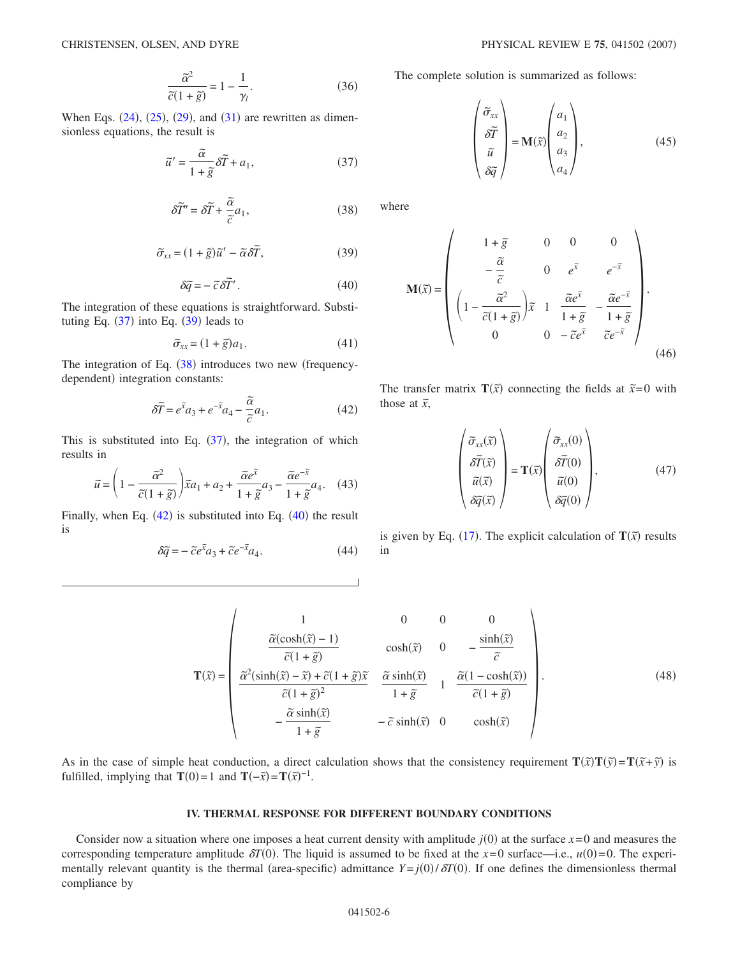$$
\frac{\tilde{\alpha}^2}{\tilde{c}(1+\tilde{g})} = 1 - \frac{1}{\gamma_l}.
$$
\n(36)

<span id="page-5-2"></span><span id="page-5-0"></span>When Eqs.  $(24)$  $(24)$  $(24)$ ,  $(25)$  $(25)$  $(25)$ ,  $(29)$  $(29)$  $(29)$ , and  $(31)$  $(31)$  $(31)$  are rewritten as dimensionless equations, the result is

$$
\tilde{u}' = \frac{\tilde{\alpha}}{1 + \tilde{g}} \delta \tilde{T} + a_1,\tag{37}
$$

$$
\delta \tilde{T}'' = \delta \tilde{T} + \frac{\tilde{\alpha}}{\tilde{c}} a_1,\tag{38}
$$

$$
\tilde{\sigma}_{xx} = (1 + \tilde{g})\tilde{u}' - \tilde{\alpha}\delta\tilde{T},\tag{39}
$$

$$
\delta \tilde{q} = -\tilde{c} \delta \tilde{T}'.
$$
 (40)

<span id="page-5-4"></span><span id="page-5-1"></span>The integration of these equations is straightforward. Substituting Eq.  $(37)$  $(37)$  $(37)$  into Eq.  $(39)$  $(39)$  $(39)$  leads to

$$
\widetilde{\sigma}_{xx} = (1 + \widetilde{g})a_1. \tag{41}
$$

<span id="page-5-3"></span>The integration of Eq.  $(38)$  $(38)$  $(38)$  introduces two new (frequencydependent) integration constants:

$$
\delta \tilde{T} = e^{\tilde{x}} a_3 + e^{-\tilde{x}} a_4 - \frac{\tilde{\alpha}}{\tilde{c}} a_1.
$$
 (42)

This is substituted into Eq.  $(37)$  $(37)$  $(37)$ , the integration of which results in

$$
\widetilde{u} = \left(1 - \frac{\widetilde{\alpha}^2}{\widetilde{c}(1 + \widetilde{g})}\right) \widetilde{x}a_1 + a_2 + \frac{\widetilde{\alpha}e^{\widetilde{x}}}{1 + \widetilde{g}}a_3 - \frac{\widetilde{\alpha}e^{-\widetilde{x}}}{1 + \widetilde{g}}a_4. \quad (43)
$$

Finally, when Eq.  $(42)$  $(42)$  $(42)$  is substituted into Eq.  $(40)$  $(40)$  $(40)$  the result is

$$
\delta \tilde{q} = -\tilde{c}e^{\tilde{x}}a_3 + \tilde{c}e^{-\tilde{x}}a_4.
$$
 (44)

The complete solution is summarized as follows:

$$
\begin{pmatrix} \tilde{\sigma}_{xx} \\ \tilde{\delta T} \\ \tilde{u} \\ \tilde{\delta q} \end{pmatrix} = \mathbf{M}(\tilde{x}) \begin{pmatrix} a_1 \\ a_2 \\ a_3 \\ a_4 \end{pmatrix}, \tag{45}
$$

where

$$
\mathbf{M}(\tilde{x}) = \begin{pmatrix} 1 + \tilde{g} & 0 & 0 & 0 \\ -\frac{\tilde{\alpha}}{\tilde{c}} & 0 & e^{\tilde{x}} & e^{-\tilde{x}} \\ \left(1 - \frac{\tilde{\alpha}^2}{\tilde{c}(1 + \tilde{g})}\right) \tilde{x} & 1 & \frac{\tilde{\alpha}e^{\tilde{x}}}{1 + \tilde{g}} & -\frac{\tilde{\alpha}e^{-\tilde{x}}}{1 + \tilde{g}} \\ 0 & 0 & -\tilde{c}e^{\tilde{x}} & \tilde{c}e^{-\tilde{x}} \end{pmatrix}.
$$
(46)

<span id="page-5-5"></span>The transfer matrix  $\mathbf{T}(\tilde{x})$  connecting the fields at  $\tilde{x}=0$  with those at  $\tilde{x}$ ,

$$
\begin{pmatrix}\n\tilde{\sigma}_{xx}(\tilde{x}) \\
\delta \tilde{T}(\tilde{x}) \\
\tilde{u}(\tilde{x}) \\
\delta \tilde{q}(\tilde{x})\n\end{pmatrix} = \mathbf{T}(\tilde{x}) \begin{pmatrix}\n\tilde{\sigma}_{xx}(0) \\
\delta \tilde{T}(0) \\
\tilde{u}(0) \\
\delta \tilde{q}(0)\n\end{pmatrix},
$$
\n(47)

is given by Eq. ([17](#page-3-4)). The explicit calculation of  $T(\tilde{x})$  results in

$$
\mathbf{T}(\tilde{x}) = \begin{pmatrix}\n1 & 0 & 0 & 0 \\
\frac{\tilde{\alpha}(\cosh(\tilde{x}) - 1)}{\tilde{c}(1 + \tilde{g})} & \cosh(\tilde{x}) & 0 & -\frac{\sinh(\tilde{x})}{\tilde{c}} \\
\frac{\tilde{\alpha}^2(\sinh(\tilde{x}) - \tilde{x}) + \tilde{c}(1 + \tilde{g})\tilde{x}}{\tilde{c}(1 + \tilde{g})^2} & \frac{\tilde{\alpha}\sinh(\tilde{x})}{1 + \tilde{g}} & 1 & \frac{\tilde{\alpha}(1 - \cosh(\tilde{x}))}{\tilde{c}(1 + \tilde{g})} \\
-\frac{\tilde{\alpha}\sinh(\tilde{x})}{1 + \tilde{g}} & -\tilde{c}\sinh(\tilde{x}) & 0 & \cosh(\tilde{x})\n\end{pmatrix}.
$$
\n(48)

As in the case of simple heat conduction, a direct calculation shows that the consistency requirement  $T(\bar{x})T(\bar{y}) = T(\bar{x} + \bar{y})$  is fulfilled, implying that **T**(0)=1 and **T**( $-\tilde{x}$ )=**T**( $\tilde{x}$ )<sup>-1</sup>.

## **IV. THERMAL RESPONSE FOR DIFFERENT BOUNDARY CONDITIONS**

Consider now a situation where one imposes a heat current density with amplitude  $j(0)$  at the surface  $x=0$  and measures the corresponding temperature amplitude  $\delta T(0)$ . The liquid is assumed to be fixed at the  $x=0$  surface—i.e.,  $u(0)=0$ . The experimentally relevant quantity is the thermal (area-specific) admittance  $Y = j(0)/\delta T(0)$ . If one defines the dimensionless thermal compliance by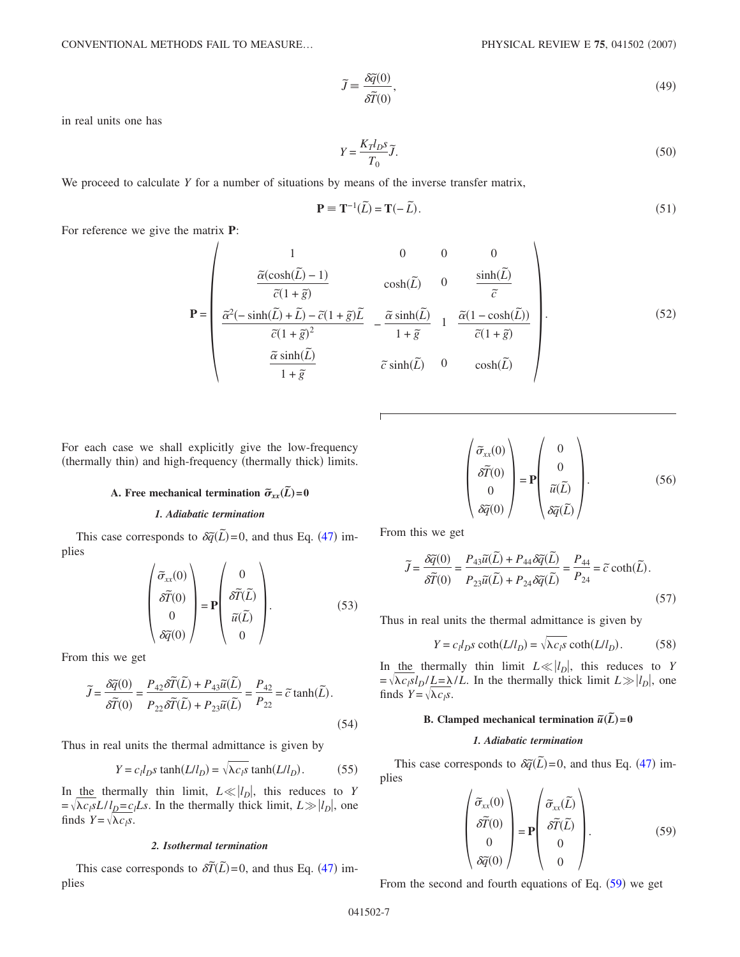$$
\tilde{J} = \frac{\delta \tilde{q}(0)}{\delta \tilde{T}(0)},\tag{49}
$$

in real units one has

$$
Y = \frac{K_T l_D s}{T_0} \tilde{J}.
$$
\n<sup>(50)</sup>

We proceed to calculate *Y* for a number of situations by means of the inverse transfer matrix,

$$
\mathbf{P} \equiv \mathbf{T}^{-1}(\tilde{L}) = \mathbf{T}(-\tilde{L}).\tag{51}
$$

For reference we give the matrix **P**:

$$
\mathbf{P} = \begin{pmatrix}\n1 & 0 & 0 & 0 \\
\frac{\widetilde{\alpha}(\cosh(\widetilde{L}) - 1)}{\widetilde{c}(1 + \widetilde{g})} & \cosh(\widetilde{L}) & 0 & \frac{\sinh(\widetilde{L})}{\widetilde{c}} \\
\frac{\widetilde{\alpha}^2(-\sinh(\widetilde{L}) + \widetilde{L}) - \widetilde{c}(1 + \widetilde{g})\widetilde{L}}{\widetilde{c}(1 + \widetilde{g})^2} & -\frac{\widetilde{\alpha}\sinh(\widetilde{L})}{1 + \widetilde{g}} & 1 & \frac{\widetilde{\alpha}(1 - \cosh(\widetilde{L}))}{\widetilde{c}(1 + \widetilde{g})} \\
\frac{\widetilde{\alpha}\sinh(\widetilde{L})}{1 + \widetilde{g}} & \widetilde{c}\sinh(\widetilde{L}) & 0 & \cosh(\widetilde{L})\n\end{pmatrix}.
$$
\n(52)

For each case we shall explicitly give the low-frequency (thermally thin) and high-frequency (thermally thick) limits.

# **A.** Free mechanical termination  $\widetilde{\sigma}_{xx}(\widetilde{L}) = 0$

## *1. Adiabatic termination*

This case corresponds to  $\delta \tilde{q}(L) = 0$ , and thus Eq. ([47](#page-5-5)) implies

$$
\begin{pmatrix}\n\tilde{\sigma}_{xx}(0) \\
\delta \tilde{T}(0) \\
0 \\
\delta \tilde{q}(0)\n\end{pmatrix} = \mathbf{P} \begin{pmatrix}\n0 \\
\delta \tilde{T}(\tilde{L}) \\
\tilde{u}(\tilde{L}) \\
0\n\end{pmatrix}.
$$
\n(53)

From this we get

$$
\widetilde{J} = \frac{\delta \widetilde{q}(0)}{\delta \widetilde{T}(0)} = \frac{P_{42} \delta \widetilde{T}(\widetilde{L}) + P_{43} \widetilde{u}(\widetilde{L})}{P_{22} \delta \widetilde{T}(\widetilde{L}) + P_{23} \widetilde{u}(\widetilde{L})} = \frac{P_{42}}{P_{22}} = \widetilde{c} \tanh(\widetilde{L}).
$$
\n(54)

Thus in real units the thermal admittance is given by

$$
Y = c_l l_D s \tanh(L/l_D) = \sqrt{\lambda c_l s} \tanh(L/l_D). \tag{55}
$$

In the thermally thin limit,  $L \ll |l_D|$ , this reduces to *Y*  $= \sqrt{\lambda c_l s} L / l_D = c_l L s$ . In the thermally thick limit,  $L \gg |l_D|$ , one finds  $Y = \sqrt{\lambda c_l s}$ .

## *2. Isothermal termination*

This case corresponds to  $\delta \tilde{T}(\tilde{L}) = 0$ , and thus Eq. ([47](#page-5-5)) implies

$$
\begin{pmatrix} \tilde{\sigma}_{xx}(0) \\ \tilde{\delta T}(0) \\ 0 \\ \tilde{\delta q}(0) \end{pmatrix} = \mathbf{P} \begin{pmatrix} 0 \\ 0 \\ \tilde{u}(\tilde{L}) \\ \tilde{\delta q}(\tilde{L}) \end{pmatrix} . \tag{56}
$$

From this we get

$$
\widetilde{J} = \frac{\delta \widetilde{q}(0)}{\delta \widetilde{T}(0)} = \frac{P_{43}\widetilde{u}(\widetilde{L}) + P_{44}\delta \widetilde{q}(\widetilde{L})}{P_{23}\widetilde{u}(\widetilde{L}) + P_{24}\delta \widetilde{q}(\widetilde{L})} = \frac{P_{44}}{P_{24}} = \widetilde{c} \coth(\widetilde{L}).
$$
\n(57)

Thus in real units the thermal admittance is given by

$$
Y = c_l l_D s \coth(L/l_D) = \sqrt{\lambda c_l s} \coth(L/l_D). \tag{58}
$$

In the thermally thin limit  $L \ll |l_D|$ , this reduces to *Y*  $=\sqrt{\lambda c_l s_l} \frac{L = \lambda / L}{}$ . In the thermally thick limit  $L \gg |l_D|$ , one finds  $Y = \sqrt{\lambda c_i s}$ .

# **B.** Clamped mechanical termination  $\tilde{u}(\tilde{L}) = 0$

## *1. Adiabatic termination*

<span id="page-6-0"></span>This case corresponds to  $\delta \tilde{q}(L) = 0$ , and thus Eq. ([47](#page-5-5)) implies

$$
\begin{pmatrix}\n\tilde{\sigma}_{xx}(0) \\
\delta \tilde{T}(0) \\
0 \\
\delta \tilde{q}(0)\n\end{pmatrix} = \mathbf{P} \begin{pmatrix}\n\tilde{\sigma}_{xx}(\tilde{L}) \\
\delta \tilde{T}(\tilde{L}) \\
0 \\
0\n\end{pmatrix}.
$$
\n(59)

From the second and fourth equations of Eq.  $(59)$  $(59)$  $(59)$  we get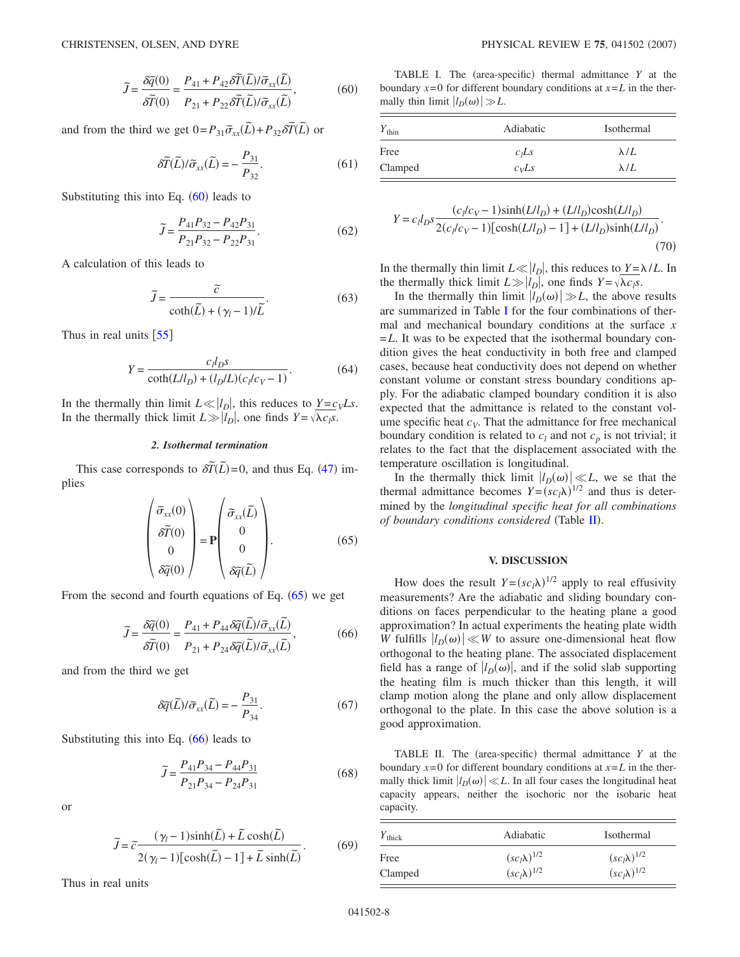$$
\widetilde{J} = \frac{\delta \widetilde{q}(0)}{\delta \widetilde{T}(0)} = \frac{P_{41} + P_{42} \delta \widetilde{T}(\widetilde{L}) / \widetilde{\sigma}_{xx}(\widetilde{L})}{P_{21} + P_{22} \delta \widetilde{T}(\widetilde{L}) / \widetilde{\sigma}_{xx}(\widetilde{L})},
$$
(60)

<span id="page-7-0"></span>and from the third we get  $0 = P_{31}\tilde{\sigma}_{xx}(\tilde{L}) + P_{32}\delta\tilde{T}(\tilde{L})$  or

$$
\delta \widetilde{T}(\widetilde{L})/\widetilde{\sigma}_{xx}(\widetilde{L}) = -\frac{P_{31}}{P_{32}}.\tag{61}
$$

Substituting this into Eq.  $(60)$  $(60)$  $(60)$  leads to

$$
\widetilde{J} = \frac{P_{41}P_{32} - P_{42}P_{31}}{P_{21}P_{32} - P_{22}P_{31}}.\tag{62}
$$

A calculation of this leads to

$$
\widetilde{J} = \frac{\widetilde{c}}{\coth(\widetilde{L}) + (\gamma_l - 1)/\widetilde{L}}.\tag{63}
$$

Thus in real units  $[55]$  $[55]$  $[55]$ 

$$
Y = \frac{c_l l_D s}{\coth(L/l_D) + (l_D/L)(c_l/c_V - 1)}.
$$
 (64)

In the thermally thin limit  $L \ll |l_D|$ , this reduces to  $Y = c_V Ls$ . In the thermally thick limit  $L \gg |l_D|$ , one finds  $Y = \sqrt{\lambda c_I s}$ .

## *2. Isothermal termination*

<span id="page-7-1"></span>This case corresponds to  $\delta \tilde{T}(\tilde{L}) = 0$ , and thus Eq. ([47](#page-5-5)) implies

$$
\begin{pmatrix} \tilde{\sigma}_{xx}(0) \\ \tilde{\delta T}(0) \\ 0 \\ \tilde{\delta q}(0) \end{pmatrix} = \mathbf{P} \begin{pmatrix} \tilde{\sigma}_{xx}(\tilde{L}) \\ 0 \\ 0 \\ \tilde{\delta q}(\tilde{L}) \end{pmatrix} . \tag{65}
$$

<span id="page-7-2"></span>From the second and fourth equations of Eq.  $(65)$  $(65)$  $(65)$  we get

$$
\widetilde{J} = \frac{\delta \widetilde{q}(0)}{\delta \widetilde{T}(0)} = \frac{P_{41} + P_{44} \delta \widetilde{q}(\widetilde{L}) / \widetilde{\sigma}_{xx}(\widetilde{L})}{P_{21} + P_{24} \delta \widetilde{q}(\widetilde{L}) / \widetilde{\sigma}_{xx}(\widetilde{L})},
$$
(66)

and from the third we get

$$
\delta \widetilde{q}(\widetilde{L})/\widetilde{\sigma}_{xx}(\widetilde{L}) = -\frac{P_{31}}{P_{34}}.\tag{67}
$$

Substituting this into Eq.  $(66)$  $(66)$  $(66)$  leads to

$$
\widetilde{J} = \frac{P_{41}P_{34} - P_{44}P_{31}}{P_{21}P_{34} - P_{24}P_{31}}\tag{68}
$$

or

$$
\widetilde{J} = \widetilde{c} \frac{(\gamma_l - 1)\sinh(\widetilde{L}) + \widetilde{L}\cosh(\widetilde{L})}{2(\gamma_l - 1)[\cosh(\widetilde{L}) - 1] + \widetilde{L}\sinh(\widetilde{L})}.
$$
(69)

Thus in real units

<span id="page-7-3"></span>TABLE I. The (area-specific) thermal admittance  $Y$  at the boundary  $x=0$  for different boundary conditions at  $x=L$  in the thermally thin limit  $|l_D(\omega)| \gg L$ .

| $Y_{\text{thin}}$ | Adiabatic         | Isothermal  |
|-------------------|-------------------|-------------|
| Free              | c <sub>i</sub> Ls | $\lambda/L$ |
| Clamped           | $c_V$ Ls          | $\lambda/L$ |

$$
Y = c_l l_D s \frac{(c_l/c_V - 1)\sinh(L/l_D) + (L/l_D)\cosh(L/l_D)}{2(c_l/c_V - 1)[\cosh(L/l_D) - 1] + (L/l_D)\sinh(L/l_D)}.
$$
\n(70)

In the thermally thin limit  $L \ll |l_D|$ , this reduces to  $Y = \lambda/L$ . In the thermally thick limit  $L \gg |l_D|$ , one finds  $Y = \sqrt{\lambda c_I s}$ .

In the thermally thin limit  $|l_D(\omega)| \gg L$ , the above results are summarized in Table [I](#page-7-3) for the four combinations of thermal and mechanical boundary conditions at the surface *x* =*L*. It was to be expected that the isothermal boundary condition gives the heat conductivity in both free and clamped cases, because heat conductivity does not depend on whether constant volume or constant stress boundary conditions apply. For the adiabatic clamped boundary condition it is also expected that the admittance is related to the constant volume specific heat  $c_V$ . That the admittance for free mechanical boundary condition is related to  $c_l$  and not  $c_p$  is not trivial; it relates to the fact that the displacement associated with the temperature oscillation is longitudinal.

In the thermally thick limit  $\left| l_D(\omega) \right| \ll L$ , we se that the thermal admittance becomes  $Y = (sc<sub>l</sub>)<sup>1/2</sup>$  and thus is determined by the *longitudinal specific heat for all combinations* of boundary conditions considered (Table [II](#page-7-4)).

## **V. DISCUSSION**

How does the result  $Y = (sc<sub>l</sub>)\lambda$ <sup>1/2</sup> apply to real effusivity measurements? Are the adiabatic and sliding boundary conditions on faces perpendicular to the heating plane a good approximation? In actual experiments the heating plate width *W* fulfills  $|l_D(\omega)| \ll W$  to assure one-dimensional heat flow orthogonal to the heating plane. The associated displacement field has a range of  $|l_D(\omega)|$ , and if the solid slab supporting the heating film is much thicker than this length, it will clamp motion along the plane and only allow displacement orthogonal to the plate. In this case the above solution is a good approximation.

<span id="page-7-4"></span>TABLE II. The (area-specific) thermal admittance  $Y$  at the boundary  $x=0$  for different boundary conditions at  $x=L$  in the thermally thick limit  $|l_D(\omega)| \ll L$ . In all four cases the longitudinal heat capacity appears, neither the isochoric nor the isobaric heat capacity.

| $Y_{\text{thick}}$ | Adiabatic             | <b>Isothermal</b>     |
|--------------------|-----------------------|-----------------------|
| Free               | $(sc_l\lambda)^{1/2}$ | $(sc_l\lambda)^{1/2}$ |
| Clamped            | $(sc_l\lambda)^{1/2}$ | $(sc_l\lambda)^{1/2}$ |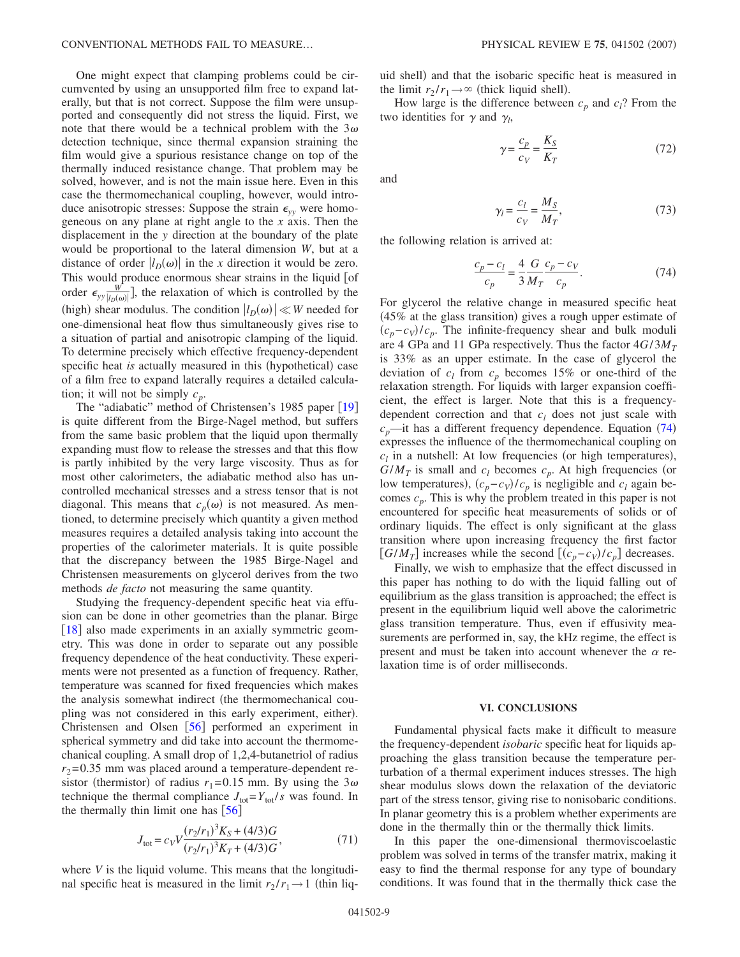One might expect that clamping problems could be circumvented by using an unsupported film free to expand laterally, but that is not correct. Suppose the film were unsupported and consequently did not stress the liquid. First, we note that there would be a technical problem with the  $3\omega$ detection technique, since thermal expansion straining the film would give a spurious resistance change on top of the thermally induced resistance change. That problem may be solved, however, and is not the main issue here. Even in this case the thermomechanical coupling, however, would introduce anisotropic stresses: Suppose the strain  $\epsilon_{vv}$  were homogeneous on any plane at right angle to the *x* axis. Then the displacement in the *y* direction at the boundary of the plate would be proportional to the lateral dimension *W*, but at a distance of order  $|l_D(\omega)|$  in the *x* direction it would be zero. This would produce enormous shear strains in the liquid [of order  $\epsilon_{yy} \frac{W}{|I_D(\omega)|}$ , the relaxation of which is controlled by the (high) shear modulus. The condition  $\left| l_D(\omega) \right| \ll W$  needed for one-dimensional heat flow thus simultaneously gives rise to a situation of partial and anisotropic clamping of the liquid. To determine precisely which effective frequency-dependent specific heat *is* actually measured in this (hypothetical) case of a film free to expand laterally requires a detailed calculation; it will not be simply  $c_p$ .

The "adiabatic" method of Christensen's [19](#page-9-13)85 paper [19] is quite different from the Birge-Nagel method, but suffers from the same basic problem that the liquid upon thermally expanding must flow to release the stresses and that this flow is partly inhibited by the very large viscosity. Thus as for most other calorimeters, the adiabatic method also has uncontrolled mechanical stresses and a stress tensor that is not diagonal. This means that  $c_p(\omega)$  is not measured. As mentioned, to determine precisely which quantity a given method measures requires a detailed analysis taking into account the properties of the calorimeter materials. It is quite possible that the discrepancy between the 1985 Birge-Nagel and Christensen measurements on glycerol derives from the two methods *de facto* not measuring the same quantity.

Studying the frequency-dependent specific heat via effusion can be done in other geometries than the planar. Birge [[18](#page-9-22)] also made experiments in an axially symmetric geometry. This was done in order to separate out any possible frequency dependence of the heat conductivity. These experiments were not presented as a function of frequency. Rather, temperature was scanned for fixed frequencies which makes the analysis somewhat indirect (the thermomechanical coupling was not considered in this early experiment, either). Christensen and Olsen  $\lceil 56 \rceil$  $\lceil 56 \rceil$  $\lceil 56 \rceil$  performed an experiment in spherical symmetry and did take into account the thermomechanical coupling. A small drop of 1,2,4-butanetriol of radius  $r_2$ =0.35 mm was placed around a temperature-dependent resistor (thermistor) of radius  $r_1 = 0.15$  mm. By using the  $3\omega$ technique the thermal compliance  $J_{\text{tot}}=Y_{\text{tot}}/s$  was found. In the thermally thin limit one has  $\lceil 56 \rceil$  $\lceil 56 \rceil$  $\lceil 56 \rceil$ 

$$
J_{\text{tot}} = c_V V \frac{(r_2/r_1)^3 K_S + (4/3)G}{(r_2/r_1)^3 K_T + (4/3)G},\tag{71}
$$

where *V* is the liquid volume. This means that the longitudinal specific heat is measured in the limit  $r_2 / r_1 \rightarrow 1$  (thin liquid shell) and that the isobaric specific heat is measured in the limit  $r_2 / r_1 \rightarrow \infty$  (thick liquid shell).

How large is the difference between  $c_p$  and  $c_l$ ? From the two identities for  $\gamma$  and  $\gamma_l$ ,

$$
\gamma = \frac{c_p}{c_V} = \frac{K_S}{K_T} \tag{72}
$$

and

$$
\gamma_l = \frac{c_l}{c_V} = \frac{M_S}{M_T},\tag{73}
$$

<span id="page-8-0"></span>the following relation is arrived at:

$$
\frac{c_p - c_l}{c_p} = \frac{4}{3} \frac{G}{M_T} \frac{c_p - c_V}{c_p}.
$$
 (74)

For glycerol the relative change in measured specific heat  $(45\%$  at the glass transition) gives a rough upper estimate of  $(c_p - c_V)/c_p$ . The infinite-frequency shear and bulk moduli are 4 GPa and 11 GPa respectively. Thus the factor  $4G/3M<sub>T</sub>$ is 33% as an upper estimate. In the case of glycerol the deviation of  $c_l$  from  $c_p$  becomes 15% or one-third of the relaxation strength. For liquids with larger expansion coefficient, the effect is larger. Note that this is a frequencydependent correction and that  $c_l$  does not just scale with  $c_p$ —it has a different frequency dependence. Equation ([74](#page-8-0)) expresses the influence of the thermomechanical coupling on  $c_l$  in a nutshell: At low frequencies (or high temperatures),  $G/M_T$  is small and  $c_l$  becomes  $c_p$ . At high frequencies (or low temperatures),  $(c_p - c_V)/c_p$  is negligible and  $c_l$  again becomes *cp*. This is why the problem treated in this paper is not encountered for specific heat measurements of solids or of ordinary liquids. The effect is only significant at the glass transition where upon increasing frequency the first factor [*G*/*M<sub>T</sub>*] increases while the second  $[(c_p - c_V)/c_p]$  decreases.

Finally, we wish to emphasize that the effect discussed in this paper has nothing to do with the liquid falling out of equilibrium as the glass transition is approached; the effect is present in the equilibrium liquid well above the calorimetric glass transition temperature. Thus, even if effusivity measurements are performed in, say, the kHz regime, the effect is present and must be taken into account whenever the  $\alpha$  relaxation time is of order milliseconds.

#### **VI. CONCLUSIONS**

Fundamental physical facts make it difficult to measure the frequency-dependent *isobaric* specific heat for liquids approaching the glass transition because the temperature perturbation of a thermal experiment induces stresses. The high shear modulus slows down the relaxation of the deviatoric part of the stress tensor, giving rise to nonisobaric conditions. In planar geometry this is a problem whether experiments are done in the thermally thin or the thermally thick limits.

In this paper the one-dimensional thermoviscoelastic problem was solved in terms of the transfer matrix, making it easy to find the thermal response for any type of boundary conditions. It was found that in the thermally thick case the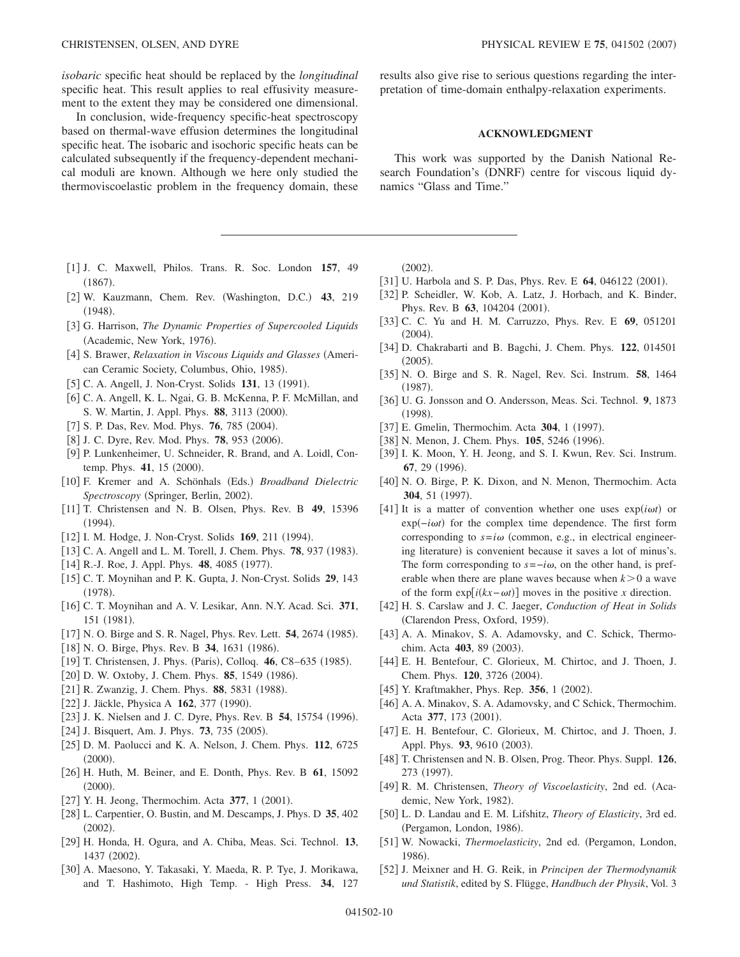*isobaric* specific heat should be replaced by the *longitudinal* specific heat. This result applies to real effusivity measurement to the extent they may be considered one dimensional.

In conclusion, wide-frequency specific-heat spectroscopy based on thermal-wave effusion determines the longitudinal specific heat. The isobaric and isochoric specific heats can be calculated subsequently if the frequency-dependent mechanical moduli are known. Although we here only studied the thermoviscoelastic problem in the frequency domain, these

- <span id="page-9-0"></span>1 J. C. Maxwell, Philos. Trans. R. Soc. London **157**, 49  $(1867).$
- <span id="page-9-1"></span>[2] W. Kauzmann, Chem. Rev. (Washington, D.C.) 43, 219  $(1948).$
- <span id="page-9-2"></span>3 G. Harrison, *The Dynamic Properties of Supercooled Liquids* (Academic, New York, 1976).
- [4] S. Brawer, *Relaxation in Viscous Liquids and Glasses* (American Ceramic Society, Columbus, Ohio, 1985).
- [5] C. A. Angell, J. Non-Cryst. Solids 131, 13 (1991).
- <span id="page-9-4"></span>[6] C. A. Angell, K. L. Ngai, G. B. McKenna, P. F. McMillan, and S. W. Martin, J. Appl. Phys. 88, 3113 (2000).
- [7] S. P. Das, Rev. Mod. Phys. **76**, 785 (2004).
- <span id="page-9-3"></span>[8] J. C. Dyre, Rev. Mod. Phys. **78**, 953 (2006).
- <span id="page-9-5"></span>9 P. Lunkenheimer, U. Schneider, R. Brand, and A. Loidl, Contemp. Phys. 41, 15 (2000).
- <span id="page-9-6"></span>[10] F. Kremer and A. Schönhals (Eds.) Broadband Dielectric Spectroscopy (Springer, Berlin, 2002).
- <span id="page-9-7"></span>11 T. Christensen and N. B. Olsen, Phys. Rev. B **49**, 15396  $(1994).$
- <span id="page-9-8"></span>[12] I. M. Hodge, J. Non-Cryst. Solids 169, 211 (1994).
- <span id="page-9-9"></span>[13] C. A. Angell and L. M. Torell, J. Chem. Phys. **78**, 937 (1983).
- <span id="page-9-10"></span>[14] R.-J. Roe, J. Appl. Phys. **48**, 4085 (1977).
- <span id="page-9-36"></span>15 C. T. Moynihan and P. K. Gupta, J. Non-Cryst. Solids **29**, 143  $(1978).$
- <span id="page-9-11"></span>[16] C. T. Moynihan and A. V. Lesikar, Ann. N.Y. Acad. Sci. 371, 151 (1981).
- <span id="page-9-12"></span>[17] N. O. Birge and S. R. Nagel, Phys. Rev. Lett. **54**, 2674 (1985).
- <span id="page-9-22"></span>[18] N. O. Birge, Phys. Rev. B 34, 1631 (1986).
- <span id="page-9-13"></span>[19] T. Christensen, J. Phys. (Paris), Colloq. 46, C8-635 (1985).
- <span id="page-9-14"></span>[20] D. W. Oxtoby, J. Chem. Phys. 85, 1549 (1986).
- [21] R. Zwanzig, J. Chem. Phys. 88, 5831 (1988).
- <span id="page-9-15"></span>[22] J. Jäckle, Physica A **162**, 377 (1990).
- <span id="page-9-16"></span>[23] J. K. Nielsen and J. C. Dyre, Phys. Rev. B 54, 15754 (1996).
- <span id="page-9-17"></span>[24] J. Bisquert, Am. J. Phys. **73**, 735 (2005).
- <span id="page-9-18"></span>25 D. M. Paolucci and K. A. Nelson, J. Chem. Phys. **112**, 6725  $(2000).$
- 26 H. Huth, M. Beiner, and E. Donth, Phys. Rev. B **61**, 15092  $(2000).$
- [27] Y. H. Jeong, Thermochim. Acta 377, 1 (2001).
- 28 L. Carpentier, O. Bustin, and M. Descamps, J. Phys. D **35**, 402  $(2002).$
- 29 H. Honda, H. Ogura, and A. Chiba, Meas. Sci. Technol. **13**, 1437 (2002).
- <span id="page-9-19"></span>[30] A. Maesono, Y. Takasaki, Y. Maeda, R. P. Tye, J. Morikawa, and T. Hashimoto, High Temp. - High Press. **34**, 127

results also give rise to serious questions regarding the interpretation of time-domain enthalpy-relaxation experiments.

## **ACKNOWLEDGMENT**

This work was supported by the Danish National Research Foundation's (DNRF) centre for viscous liquid dynamics "Glass and Time."

 $(2002).$ 

- <span id="page-9-20"></span>[31] U. Harbola and S. P. Das, Phys. Rev. E 64, 046122 (2001).
- [32] P. Scheidler, W. Kob, A. Latz, J. Horbach, and K. Binder, Phys. Rev. B 63, 104204 (2001).
- 33 C. C. Yu and H. M. Carruzzo, Phys. Rev. E **69**, 051201  $(2004).$
- <span id="page-9-21"></span>34 D. Chakrabarti and B. Bagchi, J. Chem. Phys. **122**, 014501  $(2005).$
- <span id="page-9-23"></span>35 N. O. Birge and S. R. Nagel, Rev. Sci. Instrum. **58**, 1464  $(1987).$
- <span id="page-9-24"></span>36 U. G. Jonsson and O. Andersson, Meas. Sci. Technol. **9**, 1873  $(1998).$
- [37] E. Gmelin, Thermochim. Acta 304, 1 (1997).
- [38] N. Menon, J. Chem. Phys. **105**, 5246 (1996).
- [39] I. K. Moon, Y. H. Jeong, and S. I. Kwun, Rev. Sci. Instrum. 67, 29 (1996).
- <span id="page-9-25"></span>[40] N. O. Birge, P. K. Dixon, and N. Menon, Thermochim. Acta 304, 51 (1997).
- <span id="page-9-26"></span>[41] It is a matter of convention whether one uses  $exp(i\omega t)$  or exp(-*iωt*) for the complex time dependence. The first form corresponding to  $s = i\omega$  (common, e.g., in electrical engineering literature) is convenient because it saves a lot of minus's. The form corresponding to  $s = -i\omega$ , on the other hand, is preferable when there are plane waves because when  $k>0$  a wave of the form  $exp[i(kx - \omega t)]$  moves in the positive *x* direction.
- <span id="page-9-27"></span>42 H. S. Carslaw and J. C. Jaeger, *Conduction of Heat in Solids* (Clarendon Press, Oxford, 1959).
- <span id="page-9-28"></span>[43] A. A. Minakov, S. A. Adamovsky, and C. Schick, Thermochim. Acta 403, 89 (2003).
- [44] E. H. Bentefour, C. Glorieux, M. Chirtoc, and J. Thoen, J. Chem. Phys. 120, 3726 (2004).
- <span id="page-9-29"></span>[45] Y. Kraftmakher, Phys. Rep. 356, 1 (2002).
- <span id="page-9-30"></span>[46] A. A. Minakov, S. A. Adamovsky, and C Schick, Thermochim. Acta 377, 173 (2001).
- <span id="page-9-31"></span>47 E. H. Bentefour, C. Glorieux, M. Chirtoc, and J. Thoen, J. Appl. Phys. 93, 9610 (2003).
- <span id="page-9-32"></span>48 T. Christensen and N. B. Olsen, Prog. Theor. Phys. Suppl. **126**, 273 (1997).
- <span id="page-9-33"></span>49 R. M. Christensen, *Theory of Viscoelasticity*, 2nd ed. Academic, New York, 1982).
- <span id="page-9-35"></span>50 L. D. Landau and E. M. Lifshitz, *Theory of Elasticity*, 3rd ed. (Pergamon, London, 1986).
- <span id="page-9-34"></span>[51] W. Nowacki, *Thermoelasticity*, 2nd ed. (Pergamon, London, 1986).
- <span id="page-9-37"></span>52 J. Meixner and H. G. Reik, in *Principen der Thermodynamik und Statistik*, edited by S. Flügge, *Handbuch der Physik*, Vol. 3